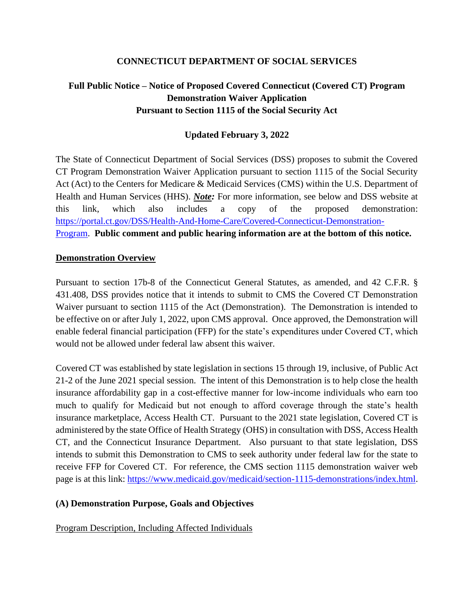### **CONNECTICUT DEPARTMENT OF SOCIAL SERVICES**

# **Full Public Notice – Notice of Proposed Covered Connecticut (Covered CT) Program Demonstration Waiver Application Pursuant to Section 1115 of the Social Security Act**

### **Updated February 3, 2022**

The State of Connecticut Department of Social Services (DSS) proposes to submit the Covered CT Program Demonstration Waiver Application pursuant to section 1115 of the Social Security Act (Act) to the Centers for Medicare & Medicaid Services (CMS) within the U.S. Department of Health and Human Services (HHS). *Note:* For more information, see below and DSS website at this link, which also includes a copy of the proposed demonstration: [https://portal.ct.gov/DSS/Health-And-Home-Care/Covered-Connecticut-Demonstration-](https://portal.ct.gov/DSS/Health-And-Home-Care/Covered-Connecticut-Demonstration-Program)[Program.](https://portal.ct.gov/DSS/Health-And-Home-Care/Covered-Connecticut-Demonstration-Program) **Public comment and public hearing information are at the bottom of this notice.**

### **Demonstration Overview**

Pursuant to section 17b-8 of the Connecticut General Statutes, as amended, and 42 C.F.R. § 431.408, DSS provides notice that it intends to submit to CMS the Covered CT Demonstration Waiver pursuant to section 1115 of the Act (Demonstration). The Demonstration is intended to be effective on or after July 1, 2022, upon CMS approval. Once approved, the Demonstration will enable federal financial participation (FFP) for the state's expenditures under Covered CT, which would not be allowed under federal law absent this waiver.

Covered CT was established by state legislation in sections 15 through 19, inclusive, of Public Act 21-2 of the June 2021 special session. The intent of this Demonstration is to help close the health insurance affordability gap in a cost-effective manner for low-income individuals who earn too much to qualify for Medicaid but not enough to afford coverage through the state's health insurance marketplace, Access Health CT. Pursuant to the 2021 state legislation, Covered CT is administered by the state Office of Health Strategy (OHS) in consultation with DSS, Access Health CT, and the Connecticut Insurance Department. Also pursuant to that state legislation, DSS intends to submit this Demonstration to CMS to seek authority under federal law for the state to receive FFP for Covered CT. For reference, the CMS section 1115 demonstration waiver web page is at this link: [https://www.medicaid.gov/medicaid/section-1115-demonstrations/index.html.](https://www.medicaid.gov/medicaid/section-1115-demonstrations/index.html)

#### **(A) Demonstration Purpose, Goals and Objectives**

### Program Description, Including Affected Individuals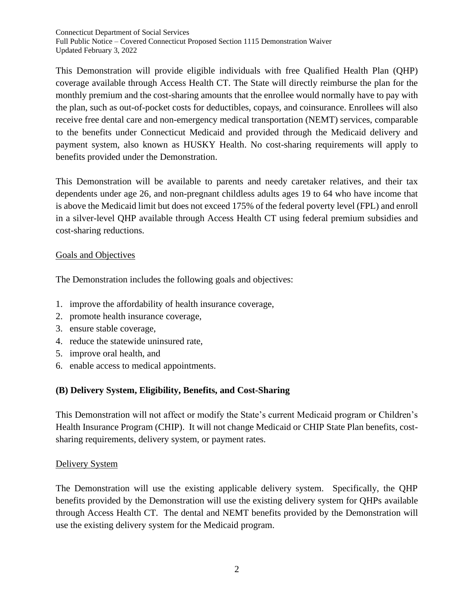This Demonstration will provide eligible individuals with free Qualified Health Plan (QHP) coverage available through Access Health CT. The State will directly reimburse the plan for the monthly premium and the cost-sharing amounts that the enrollee would normally have to pay with the plan, such as out-of-pocket costs for deductibles, copays, and coinsurance. Enrollees will also receive free dental care and non-emergency medical transportation (NEMT) services, comparable to the benefits under Connecticut Medicaid and provided through the Medicaid delivery and payment system, also known as HUSKY Health. No cost-sharing requirements will apply to benefits provided under the Demonstration.

This Demonstration will be available to parents and needy caretaker relatives, and their tax dependents under age 26, and non-pregnant childless adults ages 19 to 64 who have income that is above the Medicaid limit but does not exceed 175% of the federal poverty level (FPL) and enroll in a silver-level QHP available through Access Health CT using federal premium subsidies and cost-sharing reductions.

### Goals and Objectives

The Demonstration includes the following goals and objectives:

- 1. improve the affordability of health insurance coverage,
- 2. promote health insurance coverage,
- 3. ensure stable coverage,
- 4. reduce the statewide uninsured rate,
- 5. improve oral health, and
- 6. enable access to medical appointments.

### **(B) Delivery System, Eligibility, Benefits, and Cost-Sharing**

This Demonstration will not affect or modify the State's current Medicaid program or Children's Health Insurance Program (CHIP). It will not change Medicaid or CHIP State Plan benefits, costsharing requirements, delivery system, or payment rates.

#### Delivery System

The Demonstration will use the existing applicable delivery system. Specifically, the QHP benefits provided by the Demonstration will use the existing delivery system for QHPs available through Access Health CT. The dental and NEMT benefits provided by the Demonstration will use the existing delivery system for the Medicaid program.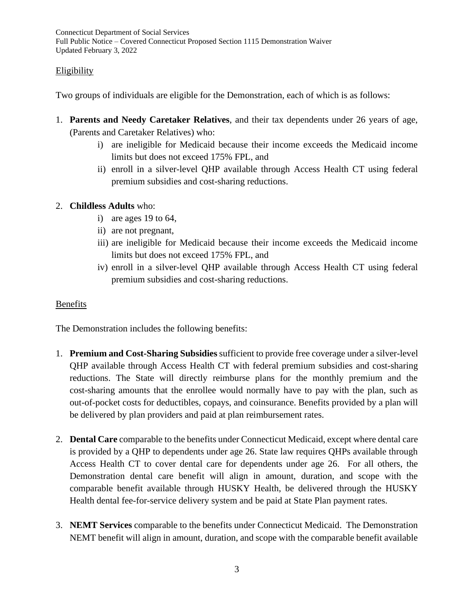### **Eligibility**

Two groups of individuals are eligible for the Demonstration, each of which is as follows:

- 1. **Parents and Needy Caretaker Relatives**, and their tax dependents under 26 years of age, (Parents and Caretaker Relatives) who:
	- i) are ineligible for Medicaid because their income exceeds the Medicaid income limits but does not exceed 175% FPL, and
	- ii) enroll in a silver-level QHP available through Access Health CT using federal premium subsidies and cost-sharing reductions.

### 2. **Childless Adults** who:

- i) are ages 19 to 64,
- ii) are not pregnant,
- iii) are ineligible for Medicaid because their income exceeds the Medicaid income limits but does not exceed 175% FPL, and
- iv) enroll in a silver-level QHP available through Access Health CT using federal premium subsidies and cost-sharing reductions.

### Benefits

The Demonstration includes the following benefits:

- 1. **Premium and Cost-Sharing Subsidies** sufficient to provide free coverage under a silver-level QHP available through Access Health CT with federal premium subsidies and cost-sharing reductions. The State will directly reimburse plans for the monthly premium and the cost-sharing amounts that the enrollee would normally have to pay with the plan, such as out-of-pocket costs for deductibles, copays, and coinsurance. Benefits provided by a plan will be delivered by plan providers and paid at plan reimbursement rates.
- 2. **Dental Care** comparable to the benefits under Connecticut Medicaid, except where dental care is provided by a QHP to dependents under age 26. State law requires QHPs available through Access Health CT to cover dental care for dependents under age 26. For all others, the Demonstration dental care benefit will align in amount, duration, and scope with the comparable benefit available through HUSKY Health, be delivered through the HUSKY Health dental fee-for-service delivery system and be paid at State Plan payment rates.
- 3. **NEMT Services** comparable to the benefits under Connecticut Medicaid. The Demonstration NEMT benefit will align in amount, duration, and scope with the comparable benefit available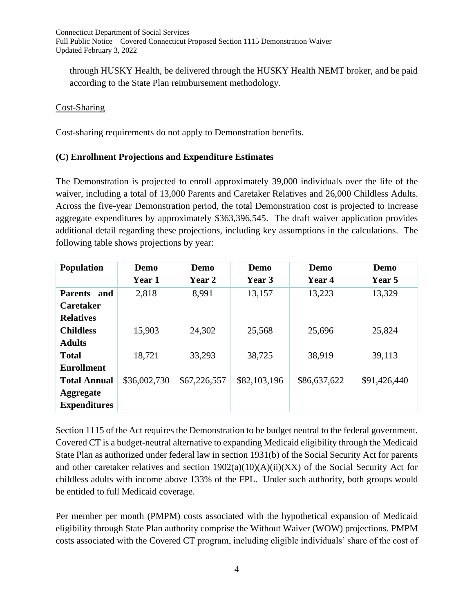through HUSKY Health, be delivered through the HUSKY Health NEMT broker, and be paid according to the State Plan reimbursement methodology.

### Cost-Sharing

Cost-sharing requirements do not apply to Demonstration benefits.

### **(C) Enrollment Projections and Expenditure Estimates**

The Demonstration is projected to enroll approximately 39,000 individuals over the life of the waiver, including a total of 13,000 Parents and Caretaker Relatives and 26,000 Childless Adults. Across the five-year Demonstration period, the total Demonstration cost is projected to increase aggregate expenditures by approximately \$363,396,545. The draft waiver application provides additional detail regarding these projections, including key assumptions in the calculations. The following table shows projections by year:

| <b>Population</b>     | Demo          | Demo         | Demo         | Demo         | Demo          |
|-----------------------|---------------|--------------|--------------|--------------|---------------|
|                       | <b>Year 1</b> | Year 2       | Year 3       | Year 4       | <b>Year 5</b> |
| and<br><b>Parents</b> | 2,818         | 8,991        | 13,157       | 13,223       | 13,329        |
| <b>Caretaker</b>      |               |              |              |              |               |
| <b>Relatives</b>      |               |              |              |              |               |
| <b>Childless</b>      | 15,903        | 24,302       | 25,568       | 25,696       | 25,824        |
| <b>Adults</b>         |               |              |              |              |               |
| <b>Total</b>          | 18,721        | 33,293       | 38,725       | 38,919       | 39,113        |
| <b>Enrollment</b>     |               |              |              |              |               |
| <b>Total Annual</b>   | \$36,002,730  | \$67,226,557 | \$82,103,196 | \$86,637,622 | \$91,426,440  |
| <b>Aggregate</b>      |               |              |              |              |               |
| <b>Expenditures</b>   |               |              |              |              |               |

Section 1115 of the Act requires the Demonstration to be budget neutral to the federal government. Covered CT is a budget-neutral alternative to expanding Medicaid eligibility through the Medicaid State Plan as authorized under federal law in section 1931(b) of the Social Security Act for parents and other caretaker relatives and section  $1902(a)(10)(A)(ii)(XX)$  of the Social Security Act for childless adults with income above 133% of the FPL. Under such authority, both groups would be entitled to full Medicaid coverage.

Per member per month (PMPM) costs associated with the hypothetical expansion of Medicaid eligibility through State Plan authority comprise the Without Waiver (WOW) projections. PMPM costs associated with the Covered CT program, including eligible individuals' share of the cost of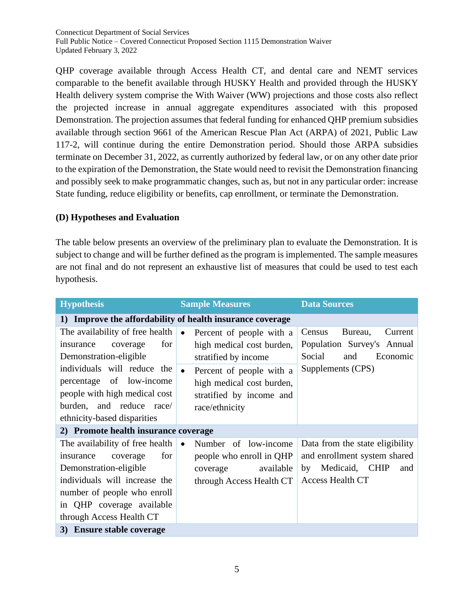QHP coverage available through Access Health CT, and dental care and NEMT services comparable to the benefit available through HUSKY Health and provided through the HUSKY Health delivery system comprise the With Waiver (WW) projections and those costs also reflect the projected increase in annual aggregate expenditures associated with this proposed Demonstration. The projection assumes that federal funding for enhanced QHP premium subsidies available through section 9661 of the American Rescue Plan Act (ARPA) of 2021, Public Law 117-2, will continue during the entire Demonstration period. Should those ARPA subsidies terminate on December 31, 2022, as currently authorized by federal law, or on any other date prior to the expiration of the Demonstration, the State would need to revisit the Demonstration financing and possibly seek to make programmatic changes, such as, but not in any particular order: increase State funding, reduce eligibility or benefits, cap enrollment, or terminate the Demonstration.

### **(D) Hypotheses and Evaluation**

The table below presents an overview of the preliminary plan to evaluate the Demonstration. It is subject to change and will be further defined as the program is implemented. The sample measures are not final and do not represent an exhaustive list of measures that could be used to test each hypothesis.

| <b>Hypothesis</b>                                                                                                                                                                                                  | <b>Sample Measures</b>                                                                                             | <b>Data Sources</b>                                                                                                       |  |  |  |  |
|--------------------------------------------------------------------------------------------------------------------------------------------------------------------------------------------------------------------|--------------------------------------------------------------------------------------------------------------------|---------------------------------------------------------------------------------------------------------------------------|--|--|--|--|
| 1) Improve the affordability of health insurance coverage                                                                                                                                                          |                                                                                                                    |                                                                                                                           |  |  |  |  |
| The availability of free health<br>for<br>insurance<br>coverage<br>Demonstration-eligible                                                                                                                          | Percent of people with a<br>$\bullet$<br>high medical cost burden,<br>stratified by income                         | Bureau,<br>Current<br>Census<br>Population Survey's Annual<br>Social<br>and<br>Economic                                   |  |  |  |  |
| individuals will reduce the<br>percentage of low-income<br>people with high medical cost<br>burden, and reduce race/<br>ethnicity-based disparities                                                                | Percent of people with a<br>$\bullet$<br>high medical cost burden,<br>stratified by income and<br>race/ethnicity   | Supplements (CPS)                                                                                                         |  |  |  |  |
| 2) Promote health insurance coverage                                                                                                                                                                               |                                                                                                                    |                                                                                                                           |  |  |  |  |
| The availability of free health<br>for<br>insurance<br>coverage<br>Demonstration-eligible<br>individuals will increase the<br>number of people who enroll<br>in QHP coverage available<br>through Access Health CT | Number of low-income<br>$\bullet$<br>people who enroll in QHP<br>available<br>coverage<br>through Access Health CT | Data from the state eligibility<br>and enrollment system shared<br>Medicaid, CHIP<br>by<br>and<br><b>Access Health CT</b> |  |  |  |  |
| 3) Ensure stable coverage                                                                                                                                                                                          |                                                                                                                    |                                                                                                                           |  |  |  |  |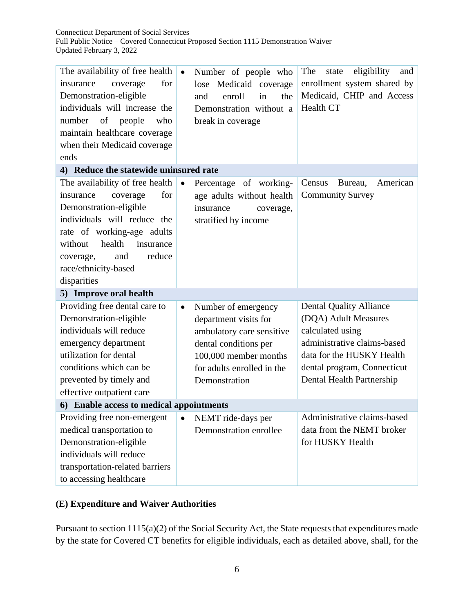| The availability of free health<br>for<br>insurance<br>coverage<br>Demonstration-eligible<br>individuals will increase the<br>number<br>of<br>who<br>people<br>maintain healthcare coverage<br>when their Medicaid coverage<br>ends                           | Number of people who<br>$\bullet$<br>lose Medicaid coverage<br>enroll<br>in<br>the<br>and<br>Demonstration without a<br>break in coverage                                               | eligibility<br>The<br>state<br>and<br>enrollment system shared by<br>Medicaid, CHIP and Access<br>Health CT                                                                                        |  |  |  |  |
|---------------------------------------------------------------------------------------------------------------------------------------------------------------------------------------------------------------------------------------------------------------|-----------------------------------------------------------------------------------------------------------------------------------------------------------------------------------------|----------------------------------------------------------------------------------------------------------------------------------------------------------------------------------------------------|--|--|--|--|
| 4) Reduce the statewide uninsured rate                                                                                                                                                                                                                        |                                                                                                                                                                                         |                                                                                                                                                                                                    |  |  |  |  |
| The availability of free health<br>coverage<br>for<br>insurance<br>Demonstration-eligible<br>individuals will reduce the<br>rate of working-age adults<br>health<br>without<br>insurance<br>reduce<br>and<br>coverage,<br>race/ethnicity-based<br>disparities | $\bullet$<br>Percentage of working-<br>age adults without health<br>insurance<br>coverage,<br>stratified by income                                                                      | American<br>Census<br>Bureau,<br><b>Community Survey</b>                                                                                                                                           |  |  |  |  |
| 5) Improve oral health                                                                                                                                                                                                                                        |                                                                                                                                                                                         |                                                                                                                                                                                                    |  |  |  |  |
| Providing free dental care to<br>Demonstration-eligible<br>individuals will reduce<br>emergency department<br>utilization for dental<br>conditions which can be<br>prevented by timely and<br>effective outpatient care                                       | Number of emergency<br>$\bullet$<br>department visits for<br>ambulatory care sensitive<br>dental conditions per<br>100,000 member months<br>for adults enrolled in the<br>Demonstration | <b>Dental Quality Alliance</b><br>(DQA) Adult Measures<br>calculated using<br>administrative claims-based<br>data for the HUSKY Health<br>dental program, Connecticut<br>Dental Health Partnership |  |  |  |  |
| 6) Enable access to medical appointments                                                                                                                                                                                                                      |                                                                                                                                                                                         |                                                                                                                                                                                                    |  |  |  |  |
| Providing free non-emergent<br>medical transportation to<br>Demonstration-eligible<br>individuals will reduce<br>transportation-related barriers<br>to accessing healthcare                                                                                   | NEMT ride-days per<br>٠<br>Demonstration enrollee                                                                                                                                       | Administrative claims-based<br>data from the NEMT broker<br>for HUSKY Health                                                                                                                       |  |  |  |  |

## **(E) Expenditure and Waiver Authorities**

Pursuant to section 1115(a)(2) of the Social Security Act, the State requests that expenditures made by the state for Covered CT benefits for eligible individuals, each as detailed above, shall, for the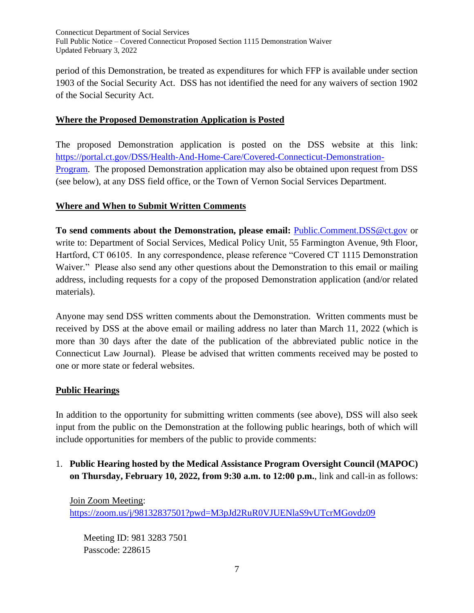period of this Demonstration, be treated as expenditures for which FFP is available under section 1903 of the Social Security Act. DSS has not identified the need for any waivers of section 1902 of the Social Security Act.

### **Where the Proposed Demonstration Application is Posted**

The proposed Demonstration application is posted on the DSS website at this link: [https://portal.ct.gov/DSS/Health-And-Home-Care/Covered-Connecticut-Demonstration-](https://portal.ct.gov/DSS/Health-And-Home-Care/Covered-Connecticut-Demonstration-Program)[Program.](https://portal.ct.gov/DSS/Health-And-Home-Care/Covered-Connecticut-Demonstration-Program) The proposed Demonstration application may also be obtained upon request from DSS (see below), at any DSS field office, or the Town of Vernon Social Services Department.

### **Where and When to Submit Written Comments**

**To send comments about the Demonstration, please email:** [Public.Comment.DSS@ct.gov](mailto:Public.Comment.DSS@ct.gov) or write to: Department of Social Services, Medical Policy Unit, 55 Farmington Avenue, 9th Floor, Hartford, CT 06105. In any correspondence, please reference "Covered CT 1115 Demonstration Waiver." Please also send any other questions about the Demonstration to this email or mailing address, including requests for a copy of the proposed Demonstration application (and/or related materials).

Anyone may send DSS written comments about the Demonstration. Written comments must be received by DSS at the above email or mailing address no later than March 11, 2022 (which is more than 30 days after the date of the publication of the abbreviated public notice in the Connecticut Law Journal). Please be advised that written comments received may be posted to one or more state or federal websites.

#### **Public Hearings**

In addition to the opportunity for submitting written comments (see above), DSS will also seek input from the public on the Demonstration at the following public hearings, both of which will include opportunities for members of the public to provide comments:

1. **Public Hearing hosted by the Medical Assistance Program Oversight Council (MAPOC) on Thursday, February 10, 2022, from 9:30 a.m. to 12:00 p.m.**, link and call-in as follows:

Join Zoom Meeting: <https://zoom.us/j/98132837501?pwd=M3pJd2RuR0VJUENlaS9vUTcrMGovdz09>

Meeting ID: 981 3283 7501 Passcode: 228615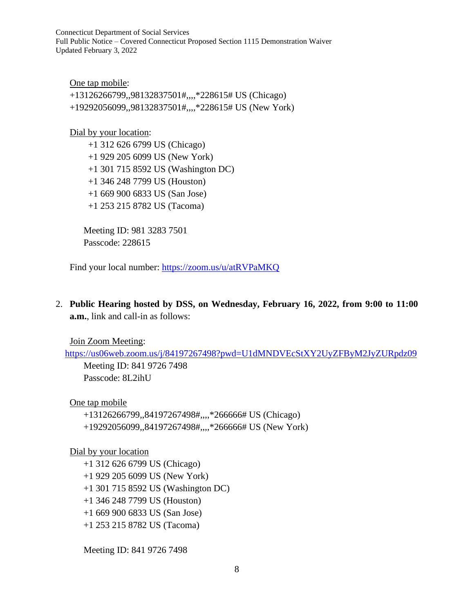One tap mobile: +13126266799,,98132837501#,,,,\*228615# US (Chicago) +19292056099,,98132837501#,,,,\*228615# US (New York)

Dial by your location:

 +1 312 626 6799 US (Chicago) +1 929 205 6099 US (New York) +1 301 715 8592 US (Washington DC) +1 346 248 7799 US (Houston) +1 669 900 6833 US (San Jose) +1 253 215 8782 US (Tacoma)

Meeting ID: 981 3283 7501 Passcode: 228615

Find your local number:<https://zoom.us/u/atRVPaMKQ>

2. **Public Hearing hosted by DSS, on Wednesday, February 16, 2022, from 9:00 to 11:00 a.m.**, link and call-in as follows:

Join Zoom Meeting:

<https://us06web.zoom.us/j/84197267498?pwd=U1dMNDVEcStXY2UyZFByM2JyZURpdz09>

Meeting ID: 841 9726 7498 Passcode: 8L2ihU

One tap mobile

+13126266799,,84197267498#,,,,\*266666# US (Chicago) +19292056099,,84197267498#,,,,\*266666# US (New York)

Dial by your location

 +1 312 626 6799 US (Chicago) +1 929 205 6099 US (New York) +1 301 715 8592 US (Washington DC) +1 346 248 7799 US (Houston) +1 669 900 6833 US (San Jose) +1 253 215 8782 US (Tacoma)

Meeting ID: 841 9726 7498